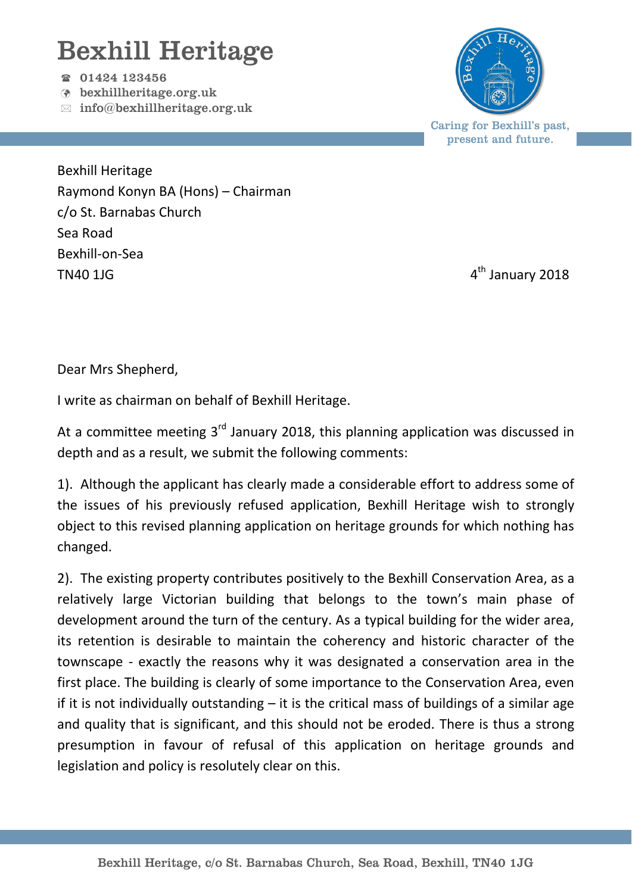## Bexhill Heritage

01424 123456

- bexhillheritage.org.uk
- $\boxtimes$  info@bexhillheritage.org.uk



present and future.

Bexhill Heritage Raymond Konyn BA (Hons) – Chairman c/o St. Barnabas Church Sea Road Bexhill-on-Sea  $T N 40 11 G$   $4$ 

4<sup>th</sup> January 2018

Dear Mrs Shepherd,

I write as chairman on behalf of Bexhill Heritage.

At a committee meeting  $3<sup>rd</sup>$  January 2018, this planning application was discussed in depth and as a result, we submit the following comments:

1). Although the applicant has clearly made a considerable effort to address some of the issues of his previously refused application, Bexhill Heritage wish to strongly object to this revised planning application on heritage grounds for which nothing has changed.

2). The existing property contributes positively to the Bexhill Conservation Area, as a relatively large Victorian building that belongs to the town's main phase of development around the turn of the century. As a typical building for the wider area, its retention is desirable to maintain the coherency and historic character of the townscape - exactly the reasons why it was designated a conservation area in the first place. The building is clearly of some importance to the Conservation Area, even if it is not individually outstanding  $-$  it is the critical mass of buildings of a similar age and quality that is significant, and this should not be eroded. There is thus a strong presumption in favour of refusal of this application on heritage grounds and legislation and policy is resolutely clear on this.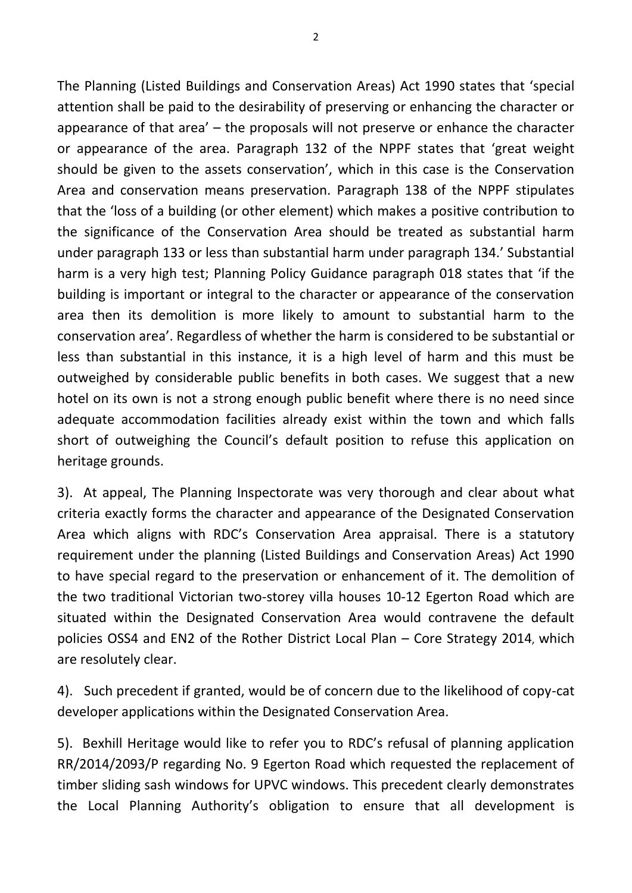The Planning (Listed Buildings and Conservation Areas) Act 1990 states that 'special attention shall be paid to the desirability of preserving or enhancing the character or appearance of that area' – the proposals will not preserve or enhance the character or appearance of the area. Paragraph 132 of the NPPF states that 'great weight should be given to the assets conservation', which in this case is the Conservation Area and conservation means preservation. Paragraph 138 of the NPPF stipulates that the 'loss of a building (or other element) which makes a positive contribution to the significance of the Conservation Area should be treated as substantial harm under paragraph 133 or less than substantial harm under paragraph 134.' Substantial harm is a very high test; Planning Policy Guidance paragraph 018 states that 'if the building is important or integral to the character or appearance of the conservation area then its demolition is more likely to amount to substantial harm to the conservation area'. Regardless of whether the harm is considered to be substantial or less than substantial in this instance, it is a high level of harm and this must be outweighed by considerable public benefits in both cases. We suggest that a new hotel on its own is not a strong enough public benefit where there is no need since adequate accommodation facilities already exist within the town and which falls short of outweighing the Council's default position to refuse this application on heritage grounds.

3). At appeal, The Planning Inspectorate was very thorough and clear about what criteria exactly forms the character and appearance of the Designated Conservation Area which aligns with RDC's Conservation Area appraisal. There is a statutory requirement under the planning (Listed Buildings and Conservation Areas) Act 1990 to have special regard to the preservation or enhancement of it. The demolition of the two traditional Victorian two-storey villa houses 10-12 Egerton Road which are situated within the Designated Conservation Area would contravene the default policies OSS4 and EN2 of the Rother District Local Plan – Core Strategy 2014, which are resolutely clear.

4). Such precedent if granted, would be of concern due to the likelihood of copy-cat developer applications within the Designated Conservation Area.

5). Bexhill Heritage would like to refer you to RDC's refusal of planning application RR/2014/2093/P regarding No. 9 Egerton Road which requested the replacement of timber sliding sash windows for UPVC windows. This precedent clearly demonstrates the Local Planning Authority's obligation to ensure that all development is